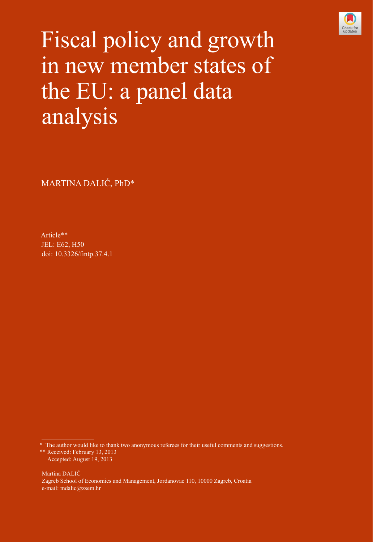

Fiscal policy and growth in new member states of the EU: a panel data analysis

MARTINA DALIĆ, PhD\*

Article\*\* JEL: E62, H50 doi: [10.3326/fintp.37.4.1](http://dx.doi.org/10.3326/fintp.37.4.1)

Martina DALIĆ Zagreb School of Economics and Management, Jordanovac 110, 10000 Zagreb, Croatia e-mail: mdalic@zsem.hr

<sup>\*</sup> The author would like to thank two anonymous referees for their useful comments and suggestions. \*\* Received: February 13, 2013 Accepted: August 19, 2013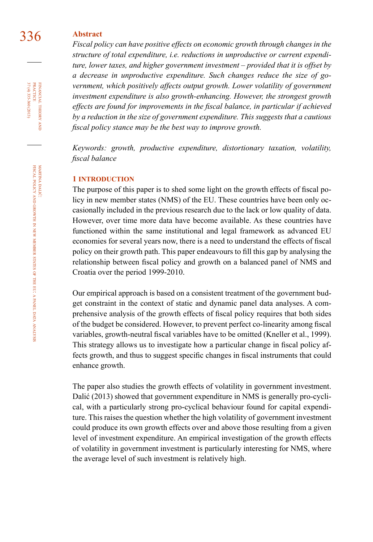# 336 **Abstract**

*Fiscal policy can have positive effects on economic growth through changes in the structure of total expenditure, i.e. reductions in unproductive or current expenditure, lower taxes, and higher government investment – provided that it is offset by a decrease in unproductive expenditure. Such changes reduce the size of government, which positively affects output growth. Lower volatility of government investment expenditure is also growth-enhancing. However, the strongest growth effects are found for improvements in the fiscal balance, in particular if achieved by a reduction in the size of government expenditure. This suggests that a cautious fiscal policy stance may be the best way to improve growth.* 

*Keywords: growth, productive expenditure, distortionary taxation, volatility, fiscal balance*

### **1 introduction**

The purpose of this paper is to shed some light on the growth effects of fiscal policy in new member states (NMS) of the EU. These countries have been only occasionally included in the previous research due to the lack or low quality of data. However, over time more data have become available. As these countries have functioned within the same institutional and legal framework as advanced EU economies for several years now, there is a need to understand the effects of fiscal policy on their growth path. This paper endeavours to fill this gap by analysing the relationship between fiscal policy and growth on a balanced panel of NMS and Croatia over the period 1999-2010.

Our empirical approach is based on a consistent treatment of the government budget constraint in the context of static and dynamic panel data analyses. A comprehensive analysis of the growth effects of fiscal policy requires that both sides of the budget be considered. However, to prevent perfect co-linearity among fiscal variables, growth-neutral fiscal variables have to be omitted (Kneller et al., 1999). This strategy allows us to investigate how a particular change in fiscal policy affects growth, and thus to suggest specific changes in fiscal instruments that could enhance growth.

The paper also studies the growth effects of volatility in government investment. Dalić (2013) showed that government expenditure in NMS is generally pro-cyclical, with a particularly strong pro-cyclical behaviour found for capital expenditure. This raises the question whether the high volatility of government investment could produce its own growth effects over and above those resulting from a given level of investment expenditure. An empirical investigation of the growth effects of volatility in government investment is particularly interesting for NMS, where the average level of such investment is relatively high.

37 (4) 335-360 (2013) FINANCIAL THEORY<br>PRACTICE 37 (4) 335-360 (2013) practice financial theory and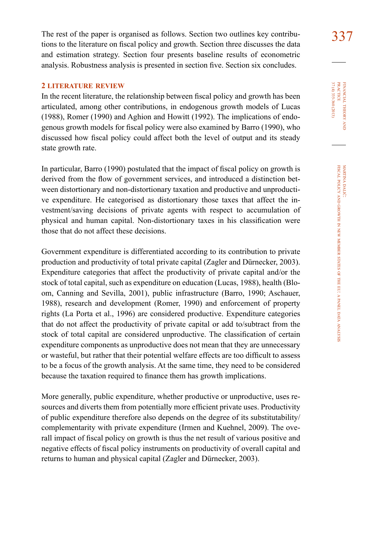The rest of the paper is organised as follows. Section two outlines key contribu-<br>337 tions to the literature on fiscal policy and growth. Section three discusses the data and estimation strategy. Section four presents baseline results of econometric analysis. Robustness analysis is presented in section five. Section six concludes.

# **2 literature review**

In the recent literature, the relationship between fiscal policy and growth has been articulated, among other contributions, in endogenous growth models of Lucas (1988), Romer (1990) and Aghion and Howitt (1992). The implications of endogenous growth models for fiscal policy were also examined by Barro (1990), who discussed how fiscal policy could affect both the level of output and its steady state growth rate.

In particular, Barro (1990) postulated that the impact of fiscal policy on growth is derived from the flow of government services, and introduced a distinction between distortionary and non-distortionary taxation and productive and unproductive expenditure. He categorised as distortionary those taxes that affect the investment/saving decisions of private agents with respect to accumulation of physical and human capital. Non-distortionary taxes in his classification were those that do not affect these decisions.

Government expenditure is differentiated according to its contribution to private production and productivity of total private capital (Zagler and Dürnecker, 2003). Expenditure categories that affect the productivity of private capital and/or the stock of total capital, such as expenditure on education (Lucas, 1988), health (Bloom, Canning and Sevilla, 2001), public infrastructure (Barro, 1990; Aschauer, 1988), research and development (Romer, 1990) and enforcement of property rights (La Porta et al., 1996) are considered productive. Expenditure categories that do not affect the productivity of private capital or add to/subtract from the stock of total capital are considered unproductive. The classification of certain expenditure components as unproductive does not mean that they are unnecessary or wasteful, but rather that their potential welfare effects are too difficult to assess to be a focus of the growth analysis. At the same time, they need to be considered because the taxation required to finance them has growth implications.

More generally, public expenditure, whether productive or unproductive, uses resources and diverts them from potentially more efficient private uses. Productivity of public expenditure therefore also depends on the degree of its substitutability/ complementarity with private expenditure (Irmen and Kuehnel, 2009). The overall impact of fiscal policy on growth is thus the net result of various positive and negative effects of fiscal policy instruments on productivity of overall capital and returns to human and physical capital (Zagler and Dürnecker, 2003).

37 (4) 335-360 (2013) FINANCIAL THEORY<br>PRACTICE 37 (4) 335-360 (2013) practice financial theory i<br>And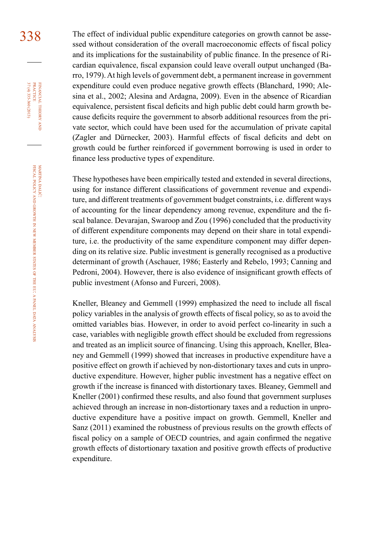338 The effect of individual public expenditure categories on growth cannot be assessed without consideration of the overall macroeconomic effects of fiscal policy and its implications for the sustainability of public finance. In the presence of Ricardian equivalence, fiscal expansion could leave overall output unchanged (Barro, 1979). At high levels of government debt, a permanent increase in government expenditure could even produce negative growth effects (Blanchard, 1990; Alesina et al., 2002; Alesina and Ardagna, 2009). Even in the absence of Ricardian equivalence, persistent fiscal deficits and high public debt could harm growth because deficits require the government to absorb additional resources from the private sector, which could have been used for the accumulation of private capital (Zagler and Dürnecker, 2003). Harmful effects of fiscal deficits and debt on growth could be further reinforced if government borrowing is used in order to finance less productive types of expenditure.

> These hypotheses have been empirically tested and extended in several directions, using for instance different classifications of government revenue and expenditure, and different treatments of government budget constraints, i.e. different ways of accounting for the linear dependency among revenue, expenditure and the fiscal balance. Devarajan, Swaroop and Zou (1996) concluded that the productivity of different expenditure components may depend on their share in total expenditure, i.e. the productivity of the same expenditure component may differ depending on its relative size. Public investment is generally recognised as a productive determinant of growth (Aschauer, 1986; Easterly and Rebelo, 1993; Canning and Pedroni, 2004). However, there is also evidence of insignificant growth effects of public investment (Afonso and Furceri, 2008).

> Kneller, Bleaney and Gemmell (1999) emphasized the need to include all fiscal policy variables in the analysis of growth effects of fiscal policy, so as to avoid the omitted variables bias. However, in order to avoid perfect co-linearity in such a case, variables with negligible growth effect should be excluded from regressions and treated as an implicit source of financing. Using this approach, Kneller, Bleaney and Gemmell (1999) showed that increases in productive expenditure have a positive effect on growth if achieved by non-distortionary taxes and cuts in unproductive expenditure. However, higher public investment has a negative effect on growth if the increase is financed with distortionary taxes. Bleaney, Gemmell and Kneller (2001) confirmed these results, and also found that government surpluses achieved through an increase in non-distortionary taxes and a reduction in unproductive expenditure have a positive impact on growth. Gemmell, Kneller and Sanz (2011) examined the robustness of previous results on the growth effects of fiscal policy on a sample of OECD countries, and again confirmed the negative growth effects of distortionary taxation and positive growth effects of productive expenditure.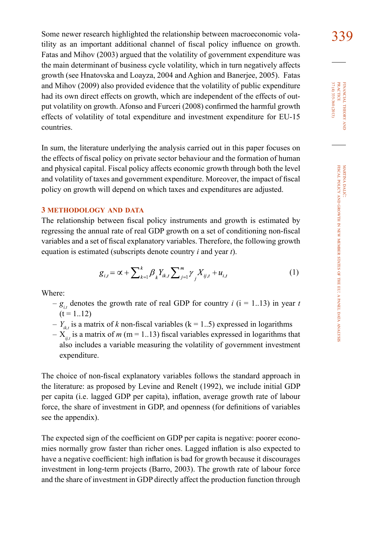Some newer research highlighted the relationship between macroeconomic vola-339 tility as an important additional channel of fiscal policy influence on growth. Fatas and Mihov (2003) argued that the volatility of government expenditure was the main determinant of business cycle volatility, which in turn negatively affects growth (see Hnatovska and Loayza, 2004 and Aghion and Banerjee, 2005). Fatas and Mihov (2009) also provided evidence that the volatility of public expenditure had its own direct effects on growth, which are independent of the effects of output volatility on growth. Afonso and Furceri (2008) confirmed the harmful growth effects of volatility of total expenditure and investment expenditure for EU-15 countries.

In sum, the literature underlying the analysis carried out in this paper focuses on the effects of fiscal policy on private sector behaviour and the formation of human and physical capital. Fiscal policy affects economic growth through both the level and volatility of taxes and government expenditure. Moreover, the impact of fiscal policy on growth will depend on which taxes and expenditures are adjusted.

### **3 methodology and data**

The relationship between fiscal policy instruments and growth is estimated by regressing the annual rate of real GDP growth on a set of conditioning non-fiscal variables and a set of fiscal explanatory variables. Therefore, the following growth equation is estimated (subscripts denote country *i* and year *t*).

$$
g_{i,t} = \alpha + \sum_{k=1}^{k} \beta_k Y_{ik,t} \sum_{j=1}^{m} \gamma_j X_{ij,t} + u_{i,t}
$$
 (1)

Where:

- $-g_{i,t}$  denotes the growth rate of real GDP for country *i* (i = 1..13) in year *t*  $(t = 1..12)$
- $-Y_{i,t}$  is a matrix of *k* non-fiscal variables (k = 1..5) expressed in logarithms
- $X_{i,j}$  is a matrix of *m* (m = 1..13) fiscal variables expressed in logarithms that also includes a variable measuring the volatility of government investment expenditure.

The choice of non-fiscal explanatory variables follows the standard approach in the literature: as proposed by Levine and Renelt (1992), we include initial GDP per capita (i.e. lagged GDP per capita), inflation, average growth rate of labour force, the share of investment in GDP, and openness (for definitions of variables see the appendix).

The expected sign of the coefficient on GDP per capita is negative: poorer economies normally grow faster than richer ones. Lagged inflation is also expected to have a negative coefficient: high inflation is bad for growth because it discourages investment in long-term projects (Barro, 2003). The growth rate of labour force and the share of investment in GDP directly affect the production function through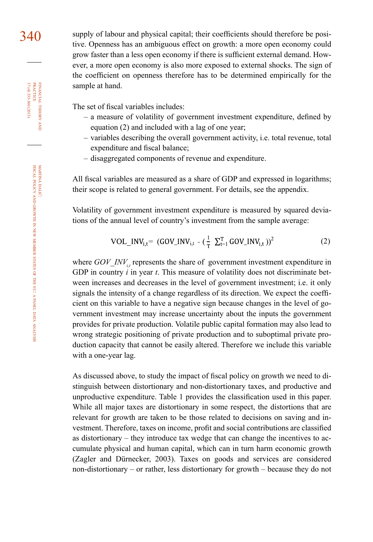340 supply of labour and physical capital; their coefficients should therefore be positive. Openness has an ambiguous effect on growth: a more open economy could grow faster than a less open economy if there is sufficient external demand. However, a more open economy is also more exposed to external shocks. The sign of the coefficient on openness therefore has to be determined empirically for the sample at hand.

The set of fiscal variables includes:

- a measure of volatility of government investment expenditure, defined by equation (2) and included with a lag of one year;
- variables describing the overall government activity, i.e. total revenue, total expenditure and fiscal balance;
- disaggregated components of revenue and expenditure.

All fiscal variables are measured as a share of GDP and expressed in logarithms; their scope is related to general government. For details, see the appendix.

Volatility of government investment expenditure is measured by squared deviations of the annual level of country's investment from the sample average:

$$
VOL\_INV_{i,t} = (GOV\_INV_{i,t} - (\frac{1}{T} \sum_{t=1}^{T} GOV\_INV_{i,t}))^{2}
$$
 (2)

where *GOV\_INV<sub>i</sub>*, represents the share of government investment expenditure in GDP in country *i* in year *t*. This measure of volatility does not discriminate between increases and decreases in the level of government investment; i.e. it only signals the intensity of a change regardless of its direction. We expect the coefficient on this variable to have a negative sign because changes in the level of government investment may increase uncertainty about the inputs the government provides for private production. Volatile public capital formation may also lead to wrong strategic positioning of private production and to suboptimal private production capacity that cannot be easily altered. Therefore we include this variable with a one-year lag.

As discussed above, to study the impact of fiscal policy on growth we need to distinguish between distortionary and non-distortionary taxes, and productive and unproductive expenditure. Table 1 provides the classification used in this paper. While all major taxes are distortionary in some respect, the distortions that are relevant for growth are taken to be those related to decisions on saving and investment. Therefore, taxes on income, profit and social contributions are classified as distortionary – they introduce tax wedge that can change the incentives to accumulate physical and human capital, which can in turn harm economic growth (Zagler and Dürnecker, 2003). Taxes on goods and services are considered non-distortionary – or rather, less distortionary for growth – because they do not

financial

theory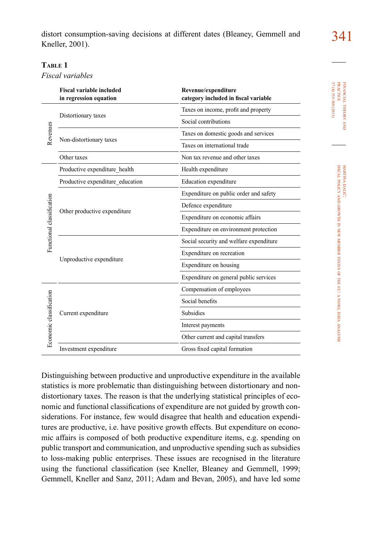distort consumption-saving decisions at different dates (Bleaney, Gemmell and 341) Kneller, 2001).

# **Table 1**

*Fiscal variables* 

|                           | <b>Fiscal variable included</b><br>in regression equation | Revenue/expenditure<br>category included in fiscal variable |
|---------------------------|-----------------------------------------------------------|-------------------------------------------------------------|
|                           |                                                           | Taxes on income, profit and property                        |
|                           | Distortionary taxes                                       | Social contributions                                        |
| Revenues                  |                                                           | Taxes on domestic goods and services                        |
|                           | Non-distortionary taxes                                   | Taxes on international trade                                |
|                           | Other taxes                                               | Non tax revenue and other taxes                             |
|                           | Productive expenditure_health                             | Health expenditure                                          |
|                           | Productive expenditure education                          | Education expenditure                                       |
|                           | Other productive expenditure                              | Expenditure on public order and safety                      |
| Functional classification |                                                           | Defence expenditure                                         |
|                           |                                                           | Expenditure on economic affairs                             |
|                           |                                                           | Expenditure on environment protection                       |
|                           |                                                           | Social security and welfare expenditure                     |
|                           |                                                           | Expenditure on recreation                                   |
|                           | Unproductive expenditure                                  | Expenditure on housing                                      |
|                           |                                                           | Expenditure on general public services                      |
|                           |                                                           | Compensation of employees                                   |
|                           |                                                           | Social benefits                                             |
|                           | Current expenditure                                       | <b>Subsidies</b>                                            |
|                           |                                                           | Interest payments                                           |
| Economic classification   |                                                           | Other current and capital transfers                         |
|                           | Investment expenditure                                    | Gross fixed capital formation                               |

Distinguishing between productive and unproductive expenditure in the available statistics is more problematic than distinguishing between distortionary and nondistortionary taxes. The reason is that the underlying statistical principles of economic and functional classifications of expenditure are not guided by growth considerations. For instance, few would disagree that health and education expenditures are productive, i.e. have positive growth effects. But expenditure on economic affairs is composed of both productive expenditure items, e.g. spending on public transport and communication, and unproductive spending such as subsidies to loss-making public enterprises. These issues are recognised in the literature using the functional classification (see Kneller, Bleaney and Gemmell, 1999; Gemmell, Kneller and Sanz, 2011; Adam and Bevan, 2005), and have led some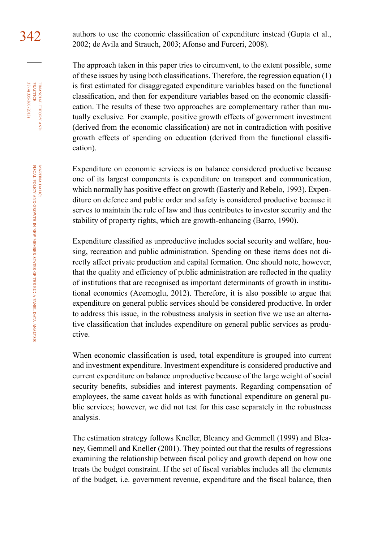342 authors to use the economic classification of expenditure instead (Gupta et al., 2002; de Avila and Strauch, 2003; Afonso and Furceri, 2008).

> The approach taken in this paper tries to circumvent, to the extent possible, some of these issues by using both classifications. Therefore, the regression equation (1) is first estimated for disaggregated expenditure variables based on the functional classification, and then for expenditure variables based on the economic classification. The results of these two approaches are complementary rather than mutually exclusive. For example, positive growth effects of government investment (derived from the economic classification) are not in contradiction with positive growth effects of spending on education (derived from the functional classification).

> Expenditure on economic services is on balance considered productive because one of its largest components is expenditure on transport and communication, which normally has positive effect on growth (Easterly and Rebelo, 1993). Expenditure on defence and public order and safety is considered productive because it serves to maintain the rule of law and thus contributes to investor security and the stability of property rights, which are growth-enhancing (Barro, 1990).

> Expenditure classified as unproductive includes social security and welfare, housing, recreation and public administration. Spending on these items does not directly affect private production and capital formation. One should note, however, that the quality and efficiency of public administration are reflected in the quality of institutions that are recognised as important determinants of growth in institutional economics (Acemoglu, 2012). Therefore, it is also possible to argue that expenditure on general public services should be considered productive. In order to address this issue, in the robustness analysis in section five we use an alternative classification that includes expenditure on general public services as productive.

> When economic classification is used, total expenditure is grouped into current and investment expenditure. Investment expenditure is considered productive and current expenditure on balance unproductive because of the large weight of social security benefits, subsidies and interest payments. Regarding compensation of employees, the same caveat holds as with functional expenditure on general public services; however, we did not test for this case separately in the robustness analysis.

> The estimation strategy follows Kneller, Bleaney and Gemmell (1999) and Bleaney, Gemmell and Kneller (2001). They pointed out that the results of regressions examining the relationship between fiscal policy and growth depend on how one treats the budget constraint. If the set of fiscal variables includes all the elements of the budget, i.e. government revenue, expenditure and the fiscal balance, then

FINANCIAL THEORY<br>PRACTICE 37 (4) 335-360 (2013) 37 (4) 335-360 (2013) practice financial theory and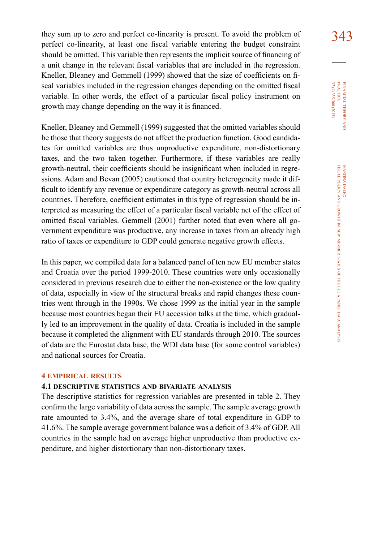they sum up to zero and perfect co-linearity is present. To avoid the problem of  $343$ perfect co-linearity, at least one fiscal variable entering the budget constraint should be omitted. This variable then represents the implicit source of financing of a unit change in the relevant fiscal variables that are included in the regression. Kneller, Bleaney and Gemmell (1999) showed that the size of coefficients on fiscal variables included in the regression changes depending on the omitted fiscal variable. In other words, the effect of a particular fiscal policy instrument on growth may change depending on the way it is financed.

Kneller, Bleaney and Gemmell (1999) suggested that the omitted variables should be those that theory suggests do not affect the production function. Good candidates for omitted variables are thus unproductive expenditure, non-distortionary taxes, and the two taken together. Furthermore, if these variables are really growth-neutral, their coefficients should be insignificant when included in regressions. Adam and Bevan (2005) cautioned that country heterogeneity made it difficult to identify any revenue or expenditure category as growth-neutral across all countries. Therefore, coefficient estimates in this type of regression should be interpreted as measuring the effect of a particular fiscal variable net of the effect of omitted fiscal variables. Gemmell (2001) further noted that even where all government expenditure was productive, any increase in taxes from an already high ratio of taxes or expenditure to GDP could generate negative growth effects.

In this paper, we compiled data for a balanced panel of ten new EU member states and Croatia over the period 1999-2010. These countries were only occasionally considered in previous research due to either the non-existence or the low quality of data, especially in view of the structural breaks and rapid changes these countries went through in the 1990s. We chose 1999 as the initial year in the sample because most countries began their EU accession talks at the time, which gradually led to an improvement in the quality of data. Croatia is included in the sample because it completed the alignment with EU standards through 2010. The sources of data are the Eurostat data base, the WDI data base (for some control variables) and national sources for Croatia.

### **4 empirical results**

### **4.1 descriptive statistics and bivariate analysis**

The descriptive statistics for regression variables are presented in table 2. They confirm the large variability of data across the sample. The sample average growth rate amounted to 3.4%, and the average share of total expenditure in GDP to 41.6%. The sample average government balance was a deficit of 3.4% of GDP. All countries in the sample had on average higher unproductive than productive expenditure, and higher distortionary than non-distortionary taxes.

37 (4) 335-360 (2013) FINANCIAL THEORY<br>PRACTICE 37 (4) 335-360 (2013) practice financial theory and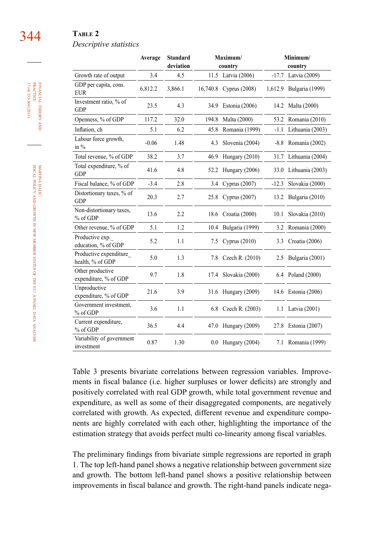# 344 **Table 2**

### *Descriptive statistics*

|                                            | Average | <b>Standard</b><br>deviation |          | Maximum/<br>country  |         | Minimum/<br>country   |
|--------------------------------------------|---------|------------------------------|----------|----------------------|---------|-----------------------|
| Growth rate of output                      | 3.4     | 4.5                          |          | 11.5 Latvia (2006)   | $-17.7$ | Latvia (2009)         |
| GDP per capita, cons.<br><b>EUR</b>        | 6,812.2 | 3,866.1                      | 16,740.8 | <b>Cyprus</b> (2008) | 1,612.9 | Bulgaria (1999)       |
| Investment ratio, % of<br><b>GDP</b>       | 23.5    | 4.3                          | 34.9     | Estonia (2006)       | 14.2    | Malta (2000)          |
| Openness, % of GDP                         | 117.2   | 32.0                         | 194.8    | Malta (2000)         | 53.2    | Romania (2010)        |
| Inflation, ch                              | 5.1     | 6.2                          | 45.8     | Romania (1999)       | $-1.1$  | Lithuania (2003)      |
| Labour force growth,<br>in $\%$            | $-0.06$ | 1.48                         | 4.3      | Slovenia (2004)      | $-8.8$  | Romania (2002)        |
| Total revenue, % of GDP                    | 38.2    | 3.7                          | 46.9     | Hungary (2010)       | 31.7    | Lithuania (2004)      |
| Total expenditure, % of<br><b>GDP</b>      | 41.6    | 4.8                          | 52.2     | Hungary (2006)       |         | 33.0 Lithuania (2003) |
| Fiscal balance, % of GDP                   | $-3.4$  | 2.8                          | 3.4      | Cyprus (2007)        | $-12.3$ | Slovakia (2000)       |
| Distortionary taxes, % of<br><b>GDP</b>    | 20.3    | 2.7                          | 25.8     | Cyprus (2007)        | 13.2    | Bulgaria (2010)       |
| Non-distortionary taxes,<br>% of GDP       | 13.6    | 2.2                          | 18.6     | Croatia (2000)       | 10.1    | Slovakia (2010)       |
| Other revenue, % of GDP                    | 5.1     | 1.2                          | 10.4     | Bulgaria (1999)      | 3.2     | Romania (2000)        |
| Productive exp.<br>education, % of GDP     | 5.2     | 1.1                          | 7.5      | Cyprus $(2010)$      | 3.3     | Croatia (2006)        |
| Productive expenditure<br>health, % of GDP | 5.0     | 1.3                          | 7.8      | Czech R. (2010)      | 2.5     | Bulgaria (2001)       |
| Other productive<br>expenditure, % of GDP  | 9.7     | 1.8                          | 17.4     | Slovakia (2000)      |         | 6.4 Poland (2000)     |
| Unproductive<br>expenditure, % of GDP      | 21.6    | 3.9                          | 31.6     | Hungary (2009)       |         | 14.6 Estonia (2006)   |
| Government investment,<br>% of GDP         | 3.6     | 1.1                          | 6.8      | Czech R. (2003)      | 1.1     | Latvia (2001)         |
| Current expenditure,<br>% of GDP           | 36.5    | 4.4                          | 47.0     | Hungary (2009)       |         | 27.8 Estonia (2007)   |
| Variability of government<br>investment    | 0.87    | 1.30                         |          | 0.0 Hungary (2004)   |         | 7.1 Romania (1999)    |

Table 3 presents bivariate correlations between regression variables. Improvements in fiscal balance (i.e. higher surpluses or lower deficits) are strongly and positively correlated with real GDP growth, while total government revenue and expenditure, as well as some of their disaggregated components, are negatively correlated with growth. As expected, different revenue and expenditure components are highly correlated with each other, highlighting the importance of the estimation strategy that avoids perfect multi co-linearity among fiscal variables.

The preliminary findings from bivariate simple regressions are reported in graph 1. The top left-hand panel shows a negative relationship between government size and growth. The bottom left-hand panel shows a positive relationship between improvements in fiscal balance and growth. The right-hand panels indicate nega-

martina

financial

37 (4) 335-360 (2013) practice

37 (4) 335-360 (2013) FINANCIAL THEORY PRACTICE

theory and

dalić: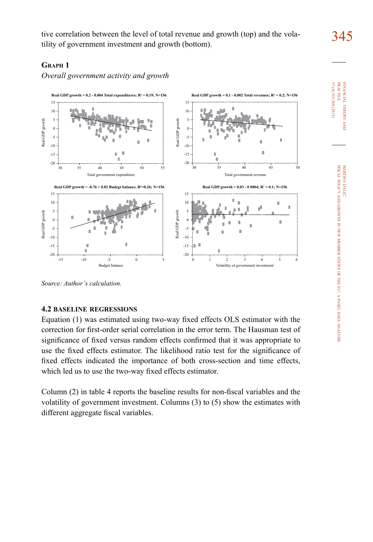tive correlation between the level of total revenue and growth (top) and the volatility of government investment and growth (bottom).

# **Graph 1**

*Overall government activity and growth*



*Source: Author's calculation.*

# **4.2 baseline regressions**

Equation (1) was estimated using two-way fixed effects OLS estimator with the correction for first-order serial correlation in the error term. The Hausman test of significance of fixed versus random effects confirmed that it was appropriate to use the fixed effects estimator. The likelihood ratio test for the significance of fixed effects indicated the importance of both cross-section and time effects, which led us to use the two-way fixed effects estimator.

Column (2) in table 4 reports the baseline results for non-fiscal variables and the volatility of government investment. Columns (3) to (5) show the estimates with different aggregate fiscal variables.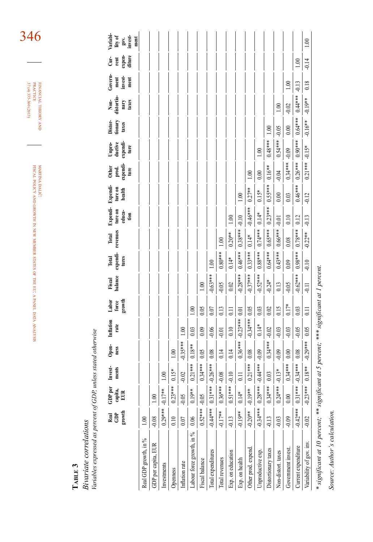| rscal                                                          | contained ANNIFERRATION<br><b>CONTRACT DESCRIPTION</b> |
|----------------------------------------------------------------|--------------------------------------------------------|
|                                                                |                                                        |
|                                                                |                                                        |
|                                                                |                                                        |
| ALTO OROQUALE IN NEW MEXINES OF THE EC. A PANNEL DATA NANAVANY |                                                        |
|                                                                |                                                        |
|                                                                |                                                        |
|                                                                |                                                        |
|                                                                |                                                        |
|                                                                |                                                        |
|                                                                |                                                        |

financial theory FINANCIAL THEORY AND PRACTICE  $\frac{37(4)}{37(4)}\frac{335-360(2013)}{37(4)}$ 37 (4) 335-360 (2013) practice

346

# **Table 3**

Variables expressed as percent of GDP, unless stated otherwise *Variables expressed as percent of GDP, unless stated otherwise* **Bivariate correlations** *Bivariate correlations*

|                                                                                        | growth<br>ĝ<br>Real | GDPper<br>capita,<br>EUR | Invest-<br>ments | Open-<br>ness | Inflation<br>rate | force<br>growth<br>Labor | Fiscal<br>balance | expendi-<br>Total<br>tures | revenues<br>Total | Expendi-<br>ture on<br>educa-<br>tion | Expendi-<br>ture on<br>health | prod.<br>expendi-<br>Other<br>ture | Unpro-<br>ductive<br>expendi-<br>ture | Distor-<br>tionary<br>taxes | distortio-<br>Non-<br>taxes<br>nary | Govern-<br>invest-<br>$m$ ent<br>ment | expen-<br>diture<br>ģ<br>rent | Variabi<br>lity of<br>gov.<br>linvest-<br>ment |
|----------------------------------------------------------------------------------------|---------------------|--------------------------|------------------|---------------|-------------------|--------------------------|-------------------|----------------------------|-------------------|---------------------------------------|-------------------------------|------------------------------------|---------------------------------------|-----------------------------|-------------------------------------|---------------------------------------|-------------------------------|------------------------------------------------|
| Real GDP growth, in %                                                                  | $\approx$           |                          |                  |               |                   |                          |                   |                            |                   |                                       |                               |                                    |                                       |                             |                                     |                                       |                               |                                                |
| GDP per capita, EUR                                                                    | $-0.08$             | 1.00                     |                  |               |                   |                          |                   |                            |                   |                                       |                               |                                    |                                       |                             |                                     |                                       |                               |                                                |
| Investments                                                                            | $0.29***$           | $-0.17**$                | 00               |               |                   |                          |                   |                            |                   |                                       |                               |                                    |                                       |                             |                                     |                                       |                               |                                                |
| Openness                                                                               | 0.10                | $0.23***$                | $0.15*$          | 1.00          |                   |                          |                   |                            |                   |                                       |                               |                                    |                                       |                             |                                     |                                       |                               |                                                |
| Inflation rate                                                                         | 0.07                | $-0.05$                  | $-0.02$          | $-0.35***$    | 1.00              |                          |                   |                            |                   |                                       |                               |                                    |                                       |                             |                                     |                                       |                               |                                                |
| Labour force growth, in %                                                              | 0.06                | $0.19**$                 | $0.21***$        | $0.18***$     | 0.03              | $\frac{1}{2}$            |                   |                            |                   |                                       |                               |                                    |                                       |                             |                                     |                                       |                               |                                                |
| Fiscal balance                                                                         | $0.52*** -0.05$     |                          | $0.34***$        | 0.05          | 0.09              | 0.05                     | 1.00              |                            |                   |                                       |                               |                                    |                                       |                             |                                     |                                       |                               |                                                |
| Total expenditures                                                                     | $-0.4***$           | $0.31***$                | $-0.26***$       | 0.08          | $-0.06$           | 0.07                     | $-0.63***$        | $\approx$                  |                   |                                       |                               |                                    |                                       |                             |                                     |                                       |                               |                                                |
| Total revenues                                                                         | $-0.17**$           | $0.36***$                | $-0.08$          | 0.14          | $-0.01$           | 0.13                     | $-0.05$           | $0.80***$                  | 1.00              |                                       |                               |                                    |                                       |                             |                                     |                                       |                               |                                                |
| Exp. on education                                                                      | $-0.13$             | $0.51***$                | $-0.10$          | 0.14          | $0.10\,$          | 0.11                     | 0.02              | $0.14*$                    | $0.20**$          | 1.00                                  |                               |                                    |                                       |                             |                                     |                                       |                               |                                                |
| Exp. on health                                                                         | $-0.19**$           | $0.14*$                  | 0.11             | $0.36***$     | $-0.23***$        | 0.01                     | $-0.28***$        | $0.46***$                  | $0.38***$         | $-0.10$                               | 1.00                          |                                    |                                       |                             |                                     |                                       |                               |                                                |
| Other prod. expend.                                                                    | $-0.20***$          | $-0.19**$                | $0.21***$        | 0.08          | $-0.34***$        | 0.05                     | $-0.37***$        | $0.33***$                  | $0.14*$           | $-0.46***$                            | $0.27**$                      | 1.00                               |                                       |                             |                                     |                                       |                               |                                                |
| Unproductive exp.                                                                      | $-0.34***$          | $0.28***$                | $-0.44***$       | $-0.09$       | $0.14*$           | 0.03                     | $-0.52***$        | $0.88***$                  | $0.74***$         | $0.14*$                               | $0.15*$                       | 0.00                               | 1.00                                  |                             |                                     |                                       |                               |                                                |
| Distortionary taxes                                                                    | $-0.13$             | $0.34***$                | 0.03             | $0.34***$     | $-0.02$           | 0.02                     | $-0.24*$          | $0.64***$                  | $0.65***$         | $0.23***$                             | $0.55***$                     | $0.16***$                          | $0.48***$                             | 1.00                        |                                     |                                       |                               |                                                |
| Non-distort. taxes                                                                     | $-0.03$             | $0.24***$                | $-0.13*$         | $-0.09$       | $-0.03$           | 0.15                     | 0.13              | $0.43***$                  | $0.66***$         | $-0.01$                               | $0.00\,$                      | $-0.04$                            | $0.54***$                             | $-0.05$                     | $\approx$                           |                                       |                               |                                                |
| Government invest                                                                      | $-0.09$             | 0.00                     | $0.34***$        | 0.00          | $-0.03$           | $0.17*$                  | $-0.05$           | 0.09                       | 0.08              | 0.10                                  | 0.03                          | $0.34***$                          | $-0.09$                               | 0.00                        | $-0.02$                             | 1.00                                  |                               |                                                |
| Current expenditure                                                                    | $-0.42***$          | $0.31***$                | $-0.34***$       | $0.08\,$      | $-0.05$           | 0.03                     | $-0.62***$        | $0.98***$                  | $0.78***$         | 0.12                                  | $0.46***$                     | $0.26***$                          | $0.90***$                             | $0.64***$                   | $0.44***$                           | $-0.13$                               | 1.00                          |                                                |
| Variability of gov. inv.                                                               | $-0.02$             | $-0.23***$               | $0.18***$        | $-0.29***$    | 0.05              | $\overline{0}$ .         | $\overline{0}$    | $-0.10$                    | $-0.22**$         | $-0.13$                               | $-0.12$                       | $0.21***$                          | $-0.15*$                              | $-0.16**$                   | $-0.19**$                           | 0.18                                  | $-0.14$                       | 1.00                                           |
| * vignificant at 10 percent: ** vignificant at 5 percent: *** vignificant at 1 percent |                     |                          |                  |               |                   |                          |                   |                            |                   |                                       |                               |                                    |                                       |                             |                                     |                                       |                               |                                                |

significant at 1 percent. *\* significant at 10 percent; \*\* significant at 5 percent; \*\*\* significant at 1 percent.* significam at 5 percent, significant at 10 percent; \*

Source: Author's calculation. *Source: Author's calculation.*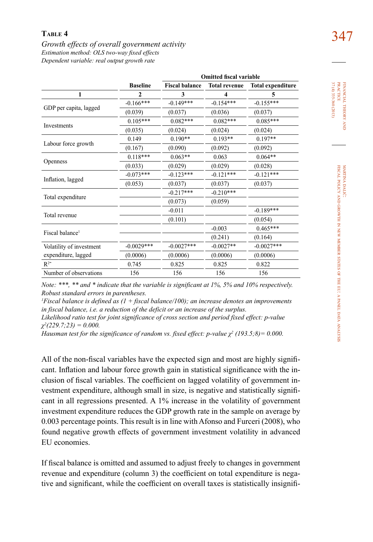# 347 **Table 4** *Growth effects of overall government activity Estimation method: OLS two-way fixed effects Dependent variable: real output growth rate*

|                             | <b>Baseline</b> | <b>Fiscal balance</b>                                                                                                                                                                                                                                                                                                                                                                                                                                                                                                                                                      | <b>Total revenue</b>                                                           | <b>Total expenditure</b> |
|-----------------------------|-----------------|----------------------------------------------------------------------------------------------------------------------------------------------------------------------------------------------------------------------------------------------------------------------------------------------------------------------------------------------------------------------------------------------------------------------------------------------------------------------------------------------------------------------------------------------------------------------------|--------------------------------------------------------------------------------|--------------------------|
| 1                           | $\mathbf{2}$    | 3                                                                                                                                                                                                                                                                                                                                                                                                                                                                                                                                                                          | $\overline{\mathbf{4}}$                                                        | 5                        |
|                             | $-0.166***$     | $-0.149***$                                                                                                                                                                                                                                                                                                                                                                                                                                                                                                                                                                | $-0.154***$                                                                    | $-0.155***$              |
| GDP per capita, lagged      | (0.039)         | (0.037)<br>(0.036)<br>(0.037)<br>$0.082***$<br>$0.082***$<br>$0.085***$<br>(0.024)<br>(0.024)<br>(0.024)<br>$0.190**$<br>$0.193**$<br>$0.197**$<br>(0.090)<br>(0.092)<br>(0.092)<br>$0.064**$<br>$0.063**$<br>0.063<br>(0.029)<br>(0.029)<br>(0.028)<br>$-0.123***$<br>$-0.121***$<br>$-0.121***$<br>(0.037)<br>(0.037)<br>(0.037)<br>$-0.210***$<br>$-0.217***$<br>(0.073)<br>(0.059)<br>$-0.189***$<br>$-0.011$<br>(0.101)<br>(0.054)<br>$0.465***$<br>$-0.003$<br>(0.241)<br>(0.164)<br>$-0.0027***$<br>$-0.0027**$<br>$-0.0027***$<br>(0.0006)<br>(0.0006)<br>(0.0006) |                                                                                |                          |
|                             | $0.105***$      |                                                                                                                                                                                                                                                                                                                                                                                                                                                                                                                                                                            | <b>Omitted fiscal variable</b><br>0.825<br>0.825<br>0.822<br>156<br>156<br>156 |                          |
| Investments                 | (0.035)         |                                                                                                                                                                                                                                                                                                                                                                                                                                                                                                                                                                            |                                                                                |                          |
|                             | 0.149           |                                                                                                                                                                                                                                                                                                                                                                                                                                                                                                                                                                            |                                                                                |                          |
| Labour force growth         | (0.167)         |                                                                                                                                                                                                                                                                                                                                                                                                                                                                                                                                                                            |                                                                                |                          |
|                             | $0.118***$      |                                                                                                                                                                                                                                                                                                                                                                                                                                                                                                                                                                            |                                                                                |                          |
| Openness                    | (0.033)         |                                                                                                                                                                                                                                                                                                                                                                                                                                                                                                                                                                            |                                                                                |                          |
|                             | $-0.073***$     |                                                                                                                                                                                                                                                                                                                                                                                                                                                                                                                                                                            |                                                                                |                          |
| Inflation, lagged           | (0.053)         |                                                                                                                                                                                                                                                                                                                                                                                                                                                                                                                                                                            |                                                                                |                          |
|                             |                 |                                                                                                                                                                                                                                                                                                                                                                                                                                                                                                                                                                            |                                                                                |                          |
| Total expenditure           |                 |                                                                                                                                                                                                                                                                                                                                                                                                                                                                                                                                                                            |                                                                                |                          |
|                             |                 |                                                                                                                                                                                                                                                                                                                                                                                                                                                                                                                                                                            |                                                                                |                          |
| Total revenue               |                 |                                                                                                                                                                                                                                                                                                                                                                                                                                                                                                                                                                            |                                                                                |                          |
| Fiscal balance <sup>1</sup> |                 |                                                                                                                                                                                                                                                                                                                                                                                                                                                                                                                                                                            |                                                                                |                          |
|                             |                 |                                                                                                                                                                                                                                                                                                                                                                                                                                                                                                                                                                            |                                                                                |                          |
| Volatility of investment    | $-0.0029***$    |                                                                                                                                                                                                                                                                                                                                                                                                                                                                                                                                                                            |                                                                                |                          |
| expenditure, lagged         | (0.0006)        |                                                                                                                                                                                                                                                                                                                                                                                                                                                                                                                                                                            |                                                                                |                          |
| $R^{2\tilde{}}$             | 0.745           |                                                                                                                                                                                                                                                                                                                                                                                                                                                                                                                                                                            |                                                                                |                          |
| Number of observations      | 156             |                                                                                                                                                                                                                                                                                                                                                                                                                                                                                                                                                                            |                                                                                |                          |

*Note: \*\*\*, \*\* and \* indicate that the variable is significant at 1%, 5% and 10% respectively. Robust standard errors in parentheses.* 

*1 Fiscal balance is defined as (1 + fiscal balance/100); an increase denotes an improvements in fiscal balance, i.e. a reduction of the deficit or an increase of the surplus.*

*Likelihood ratio test for joint significance of cross section and period fixed effect: p-value χ2 (229.7;23) = 0.000.*

*Hausman test for the significance of random vs. fixed effect: p-value χ<sup>2</sup> (193.5;8)= 0.000.*

All of the non-fiscal variables have the expected sign and most are highly significant. Inflation and labour force growth gain in statistical significance with the inclusion of fiscal variables. The coefficient on lagged volatility of government investment expenditure, although small in size, is negative and statistically significant in all regressions presented. A 1% increase in the volatility of government investment expenditure reduces the GDP growth rate in the sample on average by 0.003 percentage points. This result is in line with Afonso and Furceri (2008), who found negative growth effects of government investment volatility in advanced EU economies.

If fiscal balance is omitted and assumed to adjust freely to changes in government revenue and expenditure (column 3) the coefficient on total expenditure is negative and significant, while the coefficient on overall taxes is statistically insignifi-

financial theory FINANCIAL THEORY AND<br>PRACTICE<br>37 (4) 335-360 (2013) 37 (4) 335-360 (2013) practice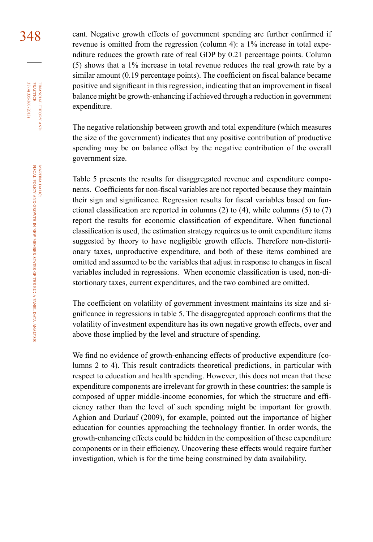348 cant. Negative growth effects of government spending are further confirmed if revenue is omitted from the regression (column 4): a 1% increase in total expenditure reduces the growth rate of real GDP by 0.21 percentage points. Column (5) shows that a 1% increase in total revenue reduces the real growth rate by a similar amount (0.19 percentage points). The coefficient on fiscal balance became positive and significant in this regression, indicating that an improvement in fiscal balance might be growth-enhancing if achieved through a reduction in government expenditure.

> The negative relationship between growth and total expenditure (which measures the size of the government) indicates that any positive contribution of productive spending may be on balance offset by the negative contribution of the overall government size.

> Table 5 presents the results for disaggregated revenue and expenditure components. Coefficients for non-fiscal variables are not reported because they maintain their sign and significance. Regression results for fiscal variables based on functional classification are reported in columns (2) to (4), while columns (5) to (7) report the results for economic classification of expenditure. When functional classification is used, the estimation strategy requires us to omit expenditure items suggested by theory to have negligible growth effects. Therefore non-distortionary taxes, unproductive expenditure, and both of these items combined are omitted and assumed to be the variables that adjust in response to changes in fiscal variables included in regressions. When economic classification is used, non-distortionary taxes, current expenditures, and the two combined are omitted.

> The coefficient on volatility of government investment maintains its size and significance in regressions in table 5. The disaggregated approach confirms that the volatility of investment expenditure has its own negative growth effects, over and above those implied by the level and structure of spending.

> We find no evidence of growth-enhancing effects of productive expenditure (columns 2 to 4). This result contradicts theoretical predictions, in particular with respect to education and health spending. However, this does not mean that these expenditure components are irrelevant for growth in these countries: the sample is composed of upper middle-income economies, for which the structure and efficiency rather than the level of such spending might be important for growth. Aghion and Durlauf (2009), for example, pointed out the importance of higher education for counties approaching the technology frontier. In order words, the growth-enhancing effects could be hidden in the composition of these expenditure components or in their efficiency. Uncovering these effects would require further investigation, which is for the time being constrained by data availability.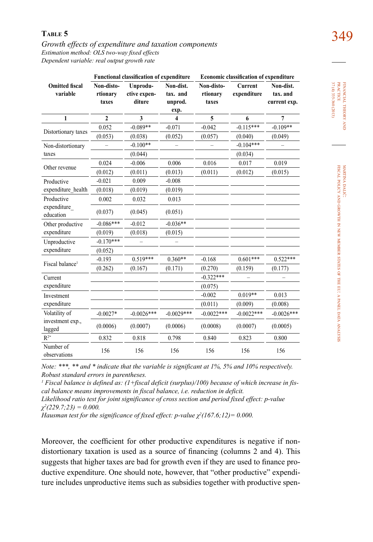349 **Table 5** *Growth effects of expenditure and taxation components Estimation method: OLS two-way fixed effects* 

*Dependent variable: real output growth rate*

|                                   | <b>Functional classification of expenditure</b> |                                    |                                  | <b>Economic classification of expenditure</b> |                               |                                       |  |
|-----------------------------------|-------------------------------------------------|------------------------------------|----------------------------------|-----------------------------------------------|-------------------------------|---------------------------------------|--|
| <b>Omitted fiscal</b><br>variable | Non-disto-<br>rtionary<br>taxes                 | Unprodu-<br>ctive expen-<br>diture | Non-dist.<br>tax. and<br>unprod. | Non-disto-<br>rtionary<br>taxes               | <b>Current</b><br>expenditure | Non-dist.<br>tax. and<br>current exp. |  |
|                                   |                                                 |                                    | exp.                             |                                               |                               |                                       |  |
| $\mathbf{1}$                      | $\overline{2}$                                  | 3                                  | 4                                | 5                                             | 6                             | $\overline{7}$                        |  |
|                                   | 0.052                                           | $-0.089**$                         | $-0.071$                         | $-0.042$                                      | $-0.115***$                   | $-0.109**$                            |  |
| Distortionary taxes               | (0.053)                                         | (0.038)                            | (0.052)                          | (0.057)                                       | (0.040)                       | (0.049)                               |  |
| Non-distortionary                 |                                                 | $-0.100**$                         |                                  |                                               | $-0.104***$                   |                                       |  |
| taxes                             |                                                 | (0.044)                            |                                  |                                               | (0.034)                       |                                       |  |
| Other revenue                     | 0.024                                           | $-0.006$                           | 0.006                            | 0.016                                         | 0.017                         | 0.019                                 |  |
|                                   | (0.012)                                         | (0.011)                            | (0.013)                          | (0.011)                                       | (0.012)                       | (0.015)                               |  |
| Productive                        | $-0.021$                                        | 0.009                              | $-0.008$                         |                                               |                               |                                       |  |
| expenditure health                | (0.018)                                         | (0.019)                            | (0.019)                          |                                               |                               |                                       |  |
| Productive                        | 0.002                                           | 0.032                              | 0.013                            |                                               |                               |                                       |  |
| expenditure<br>education          | (0.037)                                         | (0.045)                            | (0.051)                          |                                               |                               |                                       |  |
| Other productive                  | $-0.086***$                                     | $-0.012$                           | $-0.036**$                       |                                               |                               |                                       |  |
| expenditure                       | (0.019)                                         | (0.018)                            | (0.015)                          |                                               |                               |                                       |  |
| Unproductive                      | $-0.170***$                                     |                                    |                                  |                                               |                               |                                       |  |
| expenditure                       | (0.052)                                         |                                    |                                  |                                               |                               |                                       |  |
| Fiscal balance <sup>1</sup>       | $-0.193$                                        | $0.519***$                         | $0.360**$                        | $-0.168$                                      | $0.601***$                    | $0.522***$                            |  |
|                                   | (0.262)                                         | (0.167)                            | (0.171)                          | (0.270)                                       | (0.159)                       | (0.177)                               |  |
| Current                           |                                                 |                                    |                                  | $-0.322***$                                   |                               |                                       |  |
| expenditure                       |                                                 |                                    |                                  | (0.075)                                       |                               |                                       |  |
| Investment                        |                                                 |                                    |                                  | $-0.002$                                      | $0.019**$                     | 0.013                                 |  |
| expenditure                       |                                                 |                                    |                                  | (0.011)                                       | (0.009)                       | (0.008)                               |  |
| Volatility of                     | $-0.0027*$                                      | $-0.0026***$                       | $-0.0029***$                     | $-0.0022***$                                  | $-0.0022***$                  | $-0.0026***$                          |  |
| investment exp.,<br>lagged        | (0.0006)                                        | (0.0007)                           | (0.0006)                         | (0.0008)                                      | (0.0007)                      | (0.0005)                              |  |
| $R^{2\tilde{}}$                   | 0.832                                           | 0.818                              | 0.798                            | 0.840                                         | 0.823                         | 0.800                                 |  |
| Number of<br>observations         | 156                                             | 156                                | 156                              | 156                                           | 156                           | 156                                   |  |

financial theory FINANCIAL THEORY AND PRACTICE  $\begin{array}{l} 37(4) \ 335\text{-}360\, (2013) \\ 37(4) \ 335\text{-}360\, (2013) \end{array}$ 37 (4) 335-360 (2013) practice

*Note: \*\*\*, \*\* and \* indicate that the variable is significant at 1%, 5% and 10% respectively. Robust standard errors in parentheses.* 

*1 Fiscal balance is defined as: (1+fiscal deficit (surplus)/100) because of which increase in fiscal balance means improvements in fiscal balance, i.e. reduction in deficit.* 

*Likelihood ratio test for joint significance of cross section and period fixed effect: p-value χ2 (229.7;23) = 0.000.* 

*Hausman test for the significance of fixed effect: p-value χ<sup>2</sup> (167.6;12)= 0.000.* 

Moreover, the coefficient for other productive expenditures is negative if nondistortionary taxation is used as a source of financing (columns 2 and 4). This suggests that higher taxes are bad for growth even if they are used to finance productive expenditure. One should note, however, that "other productive" expenditure includes unproductive items such as subsidies together with productive spen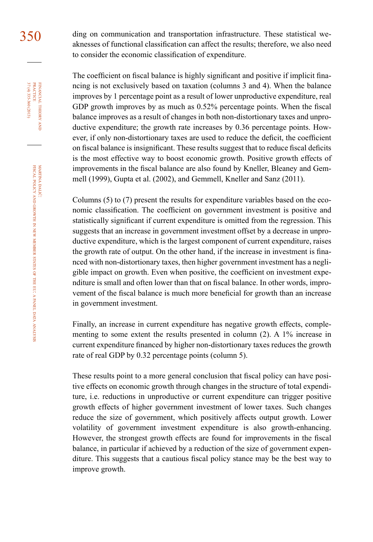350 ding on communication and transportation infrastructure. These statistical weaknesses of functional classification can affect the results; therefore, we also need to consider the economic classification of expenditure.

> The coefficient on fiscal balance is highly significant and positive if implicit financing is not exclusively based on taxation (columns 3 and 4). When the balance improves by 1 percentage point as a result of lower unproductive expenditure, real GDP growth improves by as much as 0.52% percentage points. When the fiscal balance improves as a result of changes in both non-distortionary taxes and unproductive expenditure; the growth rate increases by 0.36 percentage points. However, if only non-distortionary taxes are used to reduce the deficit, the coefficient on fiscal balance is insignificant. These results suggest that to reduce fiscal deficits is the most effective way to boost economic growth. Positive growth effects of improvements in the fiscal balance are also found by Kneller, Bleaney and Gemmell (1999), Gupta et al. (2002), and Gemmell, Kneller and Sanz (2011).

> Columns (5) to (7) present the results for expenditure variables based on the economic classification. The coefficient on government investment is positive and statistically significant if current expenditure is omitted from the regression. This suggests that an increase in government investment offset by a decrease in unproductive expenditure, which is the largest component of current expenditure, raises the growth rate of output. On the other hand, if the increase in investment is financed with non-distortionary taxes, then higher government investment has a negligible impact on growth. Even when positive, the coefficient on investment expenditure is small and often lower than that on fiscal balance. In other words, improvement of the fiscal balance is much more beneficial for growth than an increase in government investment.

> Finally, an increase in current expenditure has negative growth effects, complementing to some extent the results presented in column (2). A 1% increase in current expenditure financed by higher non-distortionary taxes reduces the growth rate of real GDP by 0.32 percentage points (column 5).

> These results point to a more general conclusion that fiscal policy can have positive effects on economic growth through changes in the structure of total expenditure, i.e. reductions in unproductive or current expenditure can trigger positive growth effects of higher government investment of lower taxes. Such changes reduce the size of government, which positively affects output growth. Lower volatility of government investment expenditure is also growth-enhancing. However, the strongest growth effects are found for improvements in the fiscal balance, in particular if achieved by a reduction of the size of government expenditure. This suggests that a cautious fiscal policy stance may be the best way to improve growth.

37 (4) 335-360 (2013) FINANCIAL THEORY<br>PRACTICE 37 (4) 335-360 (2013) practice financial theory and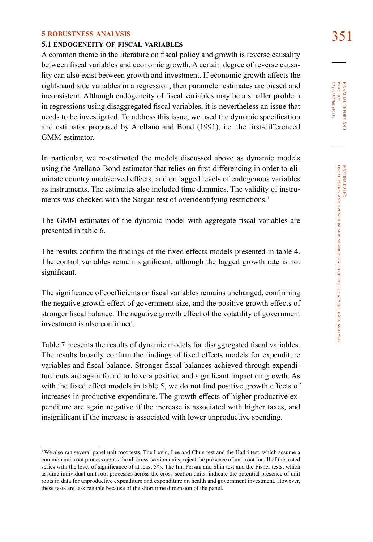# 351 **5 robustness analysis 5.1 endogeneity of fiscal variables**

A common theme in the literature on fiscal policy and growth is reverse causality between fiscal variables and economic growth. A certain degree of reverse causality can also exist between growth and investment. If economic growth affects the right-hand side variables in a regression, then parameter estimates are biased and inconsistent. Although endogeneity of fiscal variables may be a smaller problem in regressions using disaggregated fiscal variables, it is nevertheless an issue that needs to be investigated. To address this issue, we used the dynamic specification and estimator proposed by Arellano and Bond (1991), i.e. the first-differenced GMM estimator.

In particular, we re-estimated the models discussed above as dynamic models using the Arellano-Bond estimator that relies on first-differencing in order to eliminate country unobserved effects, and on lagged levels of endogenous variables as instruments. The estimates also included time dummies. The validity of instruments was checked with the Sargan test of overidentifying restrictions.<sup>1</sup>

The GMM estimates of the dynamic model with aggregate fiscal variables are presented in table 6.

The results confirm the findings of the fixed effects models presented in table 4. The control variables remain significant, although the lagged growth rate is not significant.

The significance of coefficients on fiscal variables remains unchanged, confirming the negative growth effect of government size, and the positive growth effects of stronger fiscal balance. The negative growth effect of the volatility of government investment is also confirmed.

Table 7 presents the results of dynamic models for disaggregated fiscal variables. The results broadly confirm the findings of fixed effects models for expenditure variables and fiscal balance. Stronger fiscal balances achieved through expenditure cuts are again found to have a positive and significant impact on growth. As with the fixed effect models in table 5, we do not find positive growth effects of increases in productive expenditure. The growth effects of higher productive expenditure are again negative if the increase is associated with higher taxes, and insignificant if the increase is associated with lower unproductive spending.

<sup>&</sup>lt;sup>1</sup>We also ran several panel unit root tests. The Levin, Lee and Chun test and the Hadri test, which assume a common unit root process across the all cross-section units, reject the presence of unit root for all of the tested series with the level of significance of at least 5%. The Im, Persan and Shin test and the Fisher tests, which assume individual unit root processes across the cross-section units, indicate the potential presence of unit roots in data for unproductive expenditure and expenditure on health and government investment. However, these tests are less reliable because of the short time dimension of the panel.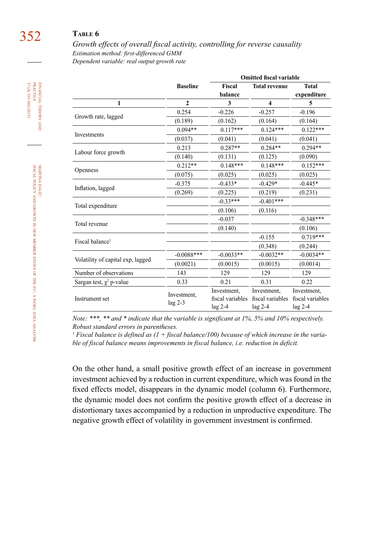# 352 **Table 6**

*Growth effects of overall fiscal activity, controlling for reverse causality Estimation method: first-differenced GMM Dependent variable: real output growth rate*

|                                   |                          |                                                                                                                                                                                                                                                                                                                                                                                                                                                                     | <b>Omitted fiscal variable</b>           |                             |
|-----------------------------------|--------------------------|---------------------------------------------------------------------------------------------------------------------------------------------------------------------------------------------------------------------------------------------------------------------------------------------------------------------------------------------------------------------------------------------------------------------------------------------------------------------|------------------------------------------|-----------------------------|
|                                   | <b>Baseline</b>          | <b>Fiscal</b><br>balance                                                                                                                                                                                                                                                                                                                                                                                                                                            | <b>Total revenue</b>                     | <b>Total</b><br>expenditure |
| 1                                 | $\overline{2}$           | 3                                                                                                                                                                                                                                                                                                                                                                                                                                                                   | $\overline{\mathbf{4}}$                  | 5                           |
|                                   | 0.254                    | $-0.226$                                                                                                                                                                                                                                                                                                                                                                                                                                                            | $-0.257$                                 | $-0.196$                    |
| Growth rate, lagged               | (0.189)                  | (0.162)                                                                                                                                                                                                                                                                                                                                                                                                                                                             | (0.164)                                  | (0.164)                     |
| Investments                       | $0.094**$                |                                                                                                                                                                                                                                                                                                                                                                                                                                                                     | $0.124***$                               | $0.122***$                  |
|                                   | (0.037)                  | (0.041)                                                                                                                                                                                                                                                                                                                                                                                                                                                             | (0.041)                                  | (0.041)                     |
|                                   | 0.213                    | $0.287**$                                                                                                                                                                                                                                                                                                                                                                                                                                                           | $0.284**$                                | $0.294**$                   |
| Labour force growth               | (0.140)                  | $0.117***$<br>(0.131)<br>(0.125)<br>(0.090)<br>$0.148***$<br>$0.148***$<br>(0.025)<br>(0.025)<br>(0.025)<br>$-0.433*$<br>$-0.429*$<br>$-0.445*$<br>(0.219)<br>(0.225)<br>(0.231)<br>$-0.33***$<br>$-0.401***$<br>(0.106)<br>(0.116)<br>$-0.037$<br>(0.140)<br>(0.106)<br>$-0.155$<br>(0.348)<br>(0.244)<br>$-0.0033**$<br>$-0.0032**$<br>(0.0015)<br>(0.0015)<br>(0.0014)<br>129<br>129<br>129<br>0.31<br>0.21<br>0.22<br>Investment,<br>Investment,<br>Investment, |                                          |                             |
|                                   | $0.212**$                |                                                                                                                                                                                                                                                                                                                                                                                                                                                                     |                                          | $0.152***$                  |
| <b>Openness</b>                   | (0.075)                  |                                                                                                                                                                                                                                                                                                                                                                                                                                                                     |                                          |                             |
|                                   | $-0.375$                 |                                                                                                                                                                                                                                                                                                                                                                                                                                                                     |                                          |                             |
| Inflation, lagged                 | (0.269)                  |                                                                                                                                                                                                                                                                                                                                                                                                                                                                     |                                          |                             |
|                                   |                          |                                                                                                                                                                                                                                                                                                                                                                                                                                                                     | fiscal variables<br>lag 2-4<br>lag 2-4   |                             |
| Total expenditure                 |                          |                                                                                                                                                                                                                                                                                                                                                                                                                                                                     |                                          |                             |
| Total revenue                     |                          |                                                                                                                                                                                                                                                                                                                                                                                                                                                                     | $-0.348***$<br>$0.719***$<br>$-0.0034**$ |                             |
|                                   |                          |                                                                                                                                                                                                                                                                                                                                                                                                                                                                     |                                          |                             |
| Fiscal balance <sup>1</sup>       |                          |                                                                                                                                                                                                                                                                                                                                                                                                                                                                     |                                          |                             |
|                                   |                          |                                                                                                                                                                                                                                                                                                                                                                                                                                                                     |                                          |                             |
|                                   | $-0.0088***$             |                                                                                                                                                                                                                                                                                                                                                                                                                                                                     |                                          |                             |
| Volatility of capital exp, lagged | (0.0021)                 |                                                                                                                                                                                                                                                                                                                                                                                                                                                                     |                                          |                             |
| Number of observations            | 143                      |                                                                                                                                                                                                                                                                                                                                                                                                                                                                     |                                          |                             |
| Sargan test, $\chi^2$ p-value     | 0.33                     |                                                                                                                                                                                                                                                                                                                                                                                                                                                                     |                                          |                             |
| Instrument set                    | Investment,<br>$lag 2-3$ | fiscal variables<br>$lag$ 2-4                                                                                                                                                                                                                                                                                                                                                                                                                                       |                                          | fiscal variables            |

*Note: \*\*\*, \*\* and \* indicate that the variable is significant at 1%, 5% and 10% respectively. Robust standard errors in parentheses.* 

<sup>1</sup> Fiscal balance is defined as (1 + fiscal balance/100) because of which increase in the varia*ble of fiscal balance means improvements in fiscal balance, i.e. reduction in deficit.*

On the other hand, a small positive growth effect of an increase in government investment achieved by a reduction in current expenditure, which was found in the fixed effects model, disappears in the dynamic model (column 6). Furthermore, the dynamic model does not confirm the positive growth effect of a decrease in distortionary taxes accompanied by a reduction in unproductive expenditure. The negative growth effect of volatility in government investment is confirmed.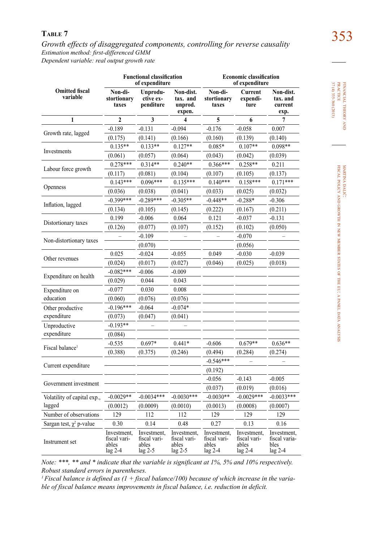353 **Table 7** *Growth effects of disaggregated components, controlling for reverse causality Estimation method: first-differenced GMM Dependent variable: real output growth rate*

|                                   | <b>Functional classification</b><br>of expenditure |                                                   |                                                 | <b>Economic classification</b><br>of expenditure  |                                                   |                                                   |  |
|-----------------------------------|----------------------------------------------------|---------------------------------------------------|-------------------------------------------------|---------------------------------------------------|---------------------------------------------------|---------------------------------------------------|--|
| <b>Omitted fiscal</b><br>variable | Non-di-<br>stortionary<br>taxes                    | Unprodu-<br>ctive ex-<br>penditure                | Non-dist.<br>tax. and<br>unprod.<br>expen.      | Non-di-<br>stortionary<br>taxes                   | Current<br>expendi-<br>ture                       | Non-dist.<br>tax. and<br>current<br>exp.          |  |
| 1                                 | $\mathbf{2}$                                       | 3                                                 | 4                                               | 5                                                 | 6                                                 | 7                                                 |  |
|                                   | $-0.189$                                           | $-0.131$                                          | $-0.094$                                        | $-0.176$                                          | $-0.058$                                          | 0.007                                             |  |
| Growth rate, lagged               | (0.175)                                            | (0.141)                                           | (0.166)                                         | (0.160)                                           | (0.139)                                           | (0.140)                                           |  |
| Investments                       | $0.135**$                                          | $0.133**$                                         | $0.127**$                                       | $0.085*$                                          | $0.107**$                                         | $0.098**$                                         |  |
|                                   | (0.061)                                            | (0.057)                                           | (0.064)                                         | (0.043)                                           | (0.042)                                           | (0.039)                                           |  |
|                                   | $0.278***$                                         | $0.314**$                                         | $0.240**$                                       | $0.366***$                                        | $0.258**$                                         | 0.211                                             |  |
| Labour force growth               | (0.117)                                            | (0.081)                                           | (0.104)                                         | (0.107)                                           | (0.105)                                           | (0.137)                                           |  |
|                                   | $0.143***$                                         | $0.096***$                                        | $0.135***$                                      | $0.140***$                                        | $0.158***$                                        | $0.171***$                                        |  |
| Openness                          | (0.036)                                            | (0.038)                                           | (0.041)                                         | (0.033)                                           | (0.025)                                           | (0.032)                                           |  |
|                                   | $-0.399***$                                        | $-0.289***$                                       | $-0.305**$                                      | $-0.448**$                                        | $-0.288*$                                         | $-0.306$                                          |  |
| Inflation, lagged                 | (0.134)                                            | (0.105)                                           | (0.145)                                         | (0.222)                                           | (0.167)                                           | (0.211)                                           |  |
|                                   | 0.199                                              | $-0.006$                                          | 0.064                                           | 0.121                                             | $-0.037$                                          | $-0.131$                                          |  |
| Distortionary taxes               | (0.126)                                            | (0.077)                                           | (0.107)                                         | (0.152)                                           | (0.102)                                           | (0.050)                                           |  |
|                                   |                                                    | $-0.109$                                          |                                                 |                                                   | $-0.070$                                          |                                                   |  |
| Non-distortionary taxes           |                                                    | (0.070)                                           |                                                 |                                                   | (0.056)                                           |                                                   |  |
|                                   | 0.025                                              | $-0.024$                                          | $-0.055$                                        | 0.049                                             | $-0.030$                                          | $-0.039$                                          |  |
| Other revenues                    | (0.024)                                            | (0.017)                                           | (0.027)                                         | (0.046)                                           | (0.025)                                           | (0.018)                                           |  |
|                                   | $-0.082***$                                        | $-0.006$                                          | $-0.009$                                        |                                                   |                                                   |                                                   |  |
| Expenditure on health             | (0.029)                                            | 0.044                                             | 0.043                                           |                                                   |                                                   |                                                   |  |
| Expenditure on                    | $-0.077$                                           | 0.030                                             | 0.008                                           |                                                   |                                                   |                                                   |  |
| education                         | (0.060)                                            | (0.076)                                           | (0.076)                                         |                                                   |                                                   |                                                   |  |
| Other productive                  | $-0.196***$                                        | $-0.064$                                          | $-0.074*$                                       |                                                   |                                                   |                                                   |  |
| expenditure                       | (0.073)                                            | (0.047)                                           | (0.041)                                         |                                                   |                                                   |                                                   |  |
| Unproductive                      | $-0.193**$                                         |                                                   |                                                 |                                                   |                                                   |                                                   |  |
| expenditure                       | (0.084)                                            |                                                   |                                                 |                                                   |                                                   |                                                   |  |
|                                   | $-0.535$                                           | $0.697*$                                          | $0.441*$                                        | $-0.606$                                          | $0.679**$                                         | $0.636**$                                         |  |
| Fiscal balance <sup>1</sup>       | (0.388)                                            | (0.375)                                           | (0.246)                                         | (0.494)                                           | (0.284)                                           | (0.274)                                           |  |
|                                   |                                                    |                                                   |                                                 | $-0.546***$                                       | $\equiv$                                          |                                                   |  |
| Current expenditure               |                                                    |                                                   |                                                 | (0.192)                                           |                                                   |                                                   |  |
|                                   |                                                    |                                                   |                                                 | $-0.056$                                          | $-0.143$                                          | $-0.005$                                          |  |
| Government investment             |                                                    |                                                   |                                                 | (0.037)                                           | (0.019)                                           | (0.016)                                           |  |
| Volatility of capital exp.,       | $-0.0029**$                                        | $-0.0034***$                                      | $-0.0030***$                                    | $-0.0030**$                                       | $-0.0029***$                                      | $-0.0033***$                                      |  |
| lagged                            | (0.0012)                                           | (0.0009)                                          | (0.0010)                                        | (0.0013)                                          | (0.0008)                                          | (0.0007)                                          |  |
| Number of observations            | 129                                                | 112                                               | 112                                             | 129                                               | 129                                               | 129                                               |  |
| Sargan test, $\chi^2$ p-value     | 0.30                                               | 0.14                                              | 0.48                                            | 0.27                                              | 0.13                                              | 0.16                                              |  |
| Instrument set                    | Investment,<br>fiscal vari-<br>ables<br>$lag 2-4$  | Investment,<br>fiscal vari-<br>ables<br>$lag$ 2-5 | Investment,<br>fiscal vari-<br>ables<br>lag 2-5 | Investment,<br>fiscal vari-<br>ables<br>$lag 2-4$ | Investment,<br>fiscal vari-<br>ables<br>$lag 2-4$ | Investment,<br>fiscal varia-<br>bles<br>$lag 2-4$ |  |

*Note: \*\*\*, \*\* and \* indicate that the variable is significant at 1%, 5% and 10% respectively. Robust standard errors in parentheses.* 

*1 Fiscal balance is defined as (1 + fiscal balance/100) because of which increase in the variable of fiscal balance means improvements in fiscal balance, i.e. reduction in deficit.*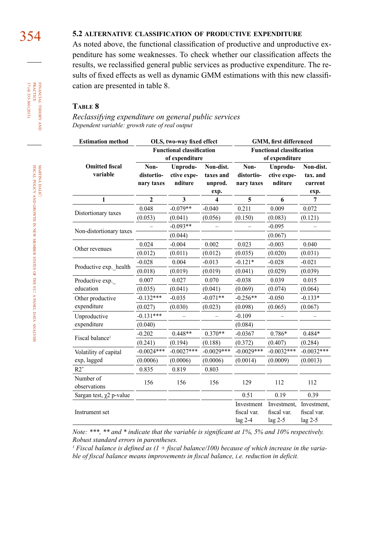# 354 **5.2 alternative classification of productive expenditure**

As noted above, the functional classification of productive and unproductive expenditure has some weaknesses. To check whether our classification affects the results, we reclassified general public services as productive expenditure. The results of fixed effects as well as dynamic GMM estimations with this new classification are presented in table 8.

### **Table 8**

*Reclassifying expenditure on general public services Dependent variable: growth rate of real output*

| <b>Estimation method</b>          |                                  | OLS, two-way fixed effect                          |                                           | GMM, first differenced                             |                                         |                                          |  |
|-----------------------------------|----------------------------------|----------------------------------------------------|-------------------------------------------|----------------------------------------------------|-----------------------------------------|------------------------------------------|--|
|                                   |                                  | <b>Functional classification</b><br>of expenditure |                                           | <b>Functional classification</b><br>of expenditure |                                         |                                          |  |
| <b>Omitted fiscal</b><br>variable | Non-<br>distortio-<br>nary taxes | Unprodu-<br>ctive expe-<br>nditure                 | Non-dist.<br>taxes and<br>unprod.<br>exp. | Non-<br>distortio-<br>nary taxes                   | Unprodu-<br>ctive expe-<br>nditure      | Non-dist.<br>tax. and<br>current<br>exp. |  |
| 1                                 | $\overline{2}$                   | 3                                                  | 4                                         | 5                                                  | 6                                       | 7                                        |  |
|                                   | 0.048                            | $-0.079**$                                         | $-0.040$                                  | 0.211                                              | 0.009                                   | 0.072                                    |  |
| Distortionary taxes               | (0.053)                          | (0.041)                                            | (0.056)                                   | (0.150)                                            | (0.083)                                 | (0.121)                                  |  |
|                                   |                                  | $-0.093**$                                         |                                           |                                                    | $-0.095$                                |                                          |  |
| Non-distortionary taxes           |                                  | (0.044)                                            |                                           |                                                    | (0.067)                                 |                                          |  |
|                                   | 0.024                            | $-0.004$                                           | 0.002                                     | 0.023                                              | $-0.003$                                | 0.040                                    |  |
| Other revenues                    | (0.012)                          | (0.011)                                            | (0.012)                                   | (0.035)                                            | (0.020)                                 | (0.031)                                  |  |
|                                   | $-0.028$                         | 0.004                                              | $-0.013$                                  | $-0.121*$                                          | $-0.028$                                | $-0.021$                                 |  |
| Productive exp. health            | (0.018)                          | (0.019)                                            | (0.019)                                   | (0.041)                                            | (0.029)                                 | (0.039)                                  |  |
| Productive exp.                   | 0.007                            | 0.027                                              | 0.070                                     | $-0.038$                                           | 0.039                                   | 0.015                                    |  |
| education                         | (0.035)                          | (0.041)                                            | (0.041)                                   | (0.069)                                            | (0.074)                                 | (0.064)                                  |  |
| Other productive                  | $-0.132***$                      | $-0.035$                                           | $-0.071**$                                | $-0.256**$                                         | $-0.050$                                | $-0.133*$                                |  |
| expenditure                       | (0.027)                          | (0.030)                                            | (0.023)                                   | (0.098)                                            | (0.065)                                 | (0.067)                                  |  |
| Unproductive                      | $-0.131***$                      |                                                    |                                           | $-0.109$                                           |                                         |                                          |  |
| expenditure                       | (0.040)                          |                                                    |                                           | (0.084)                                            |                                         |                                          |  |
| Fiscal balance <sup>1</sup>       | $-0.202$                         | $0.448**$                                          | $0.370**$                                 | $-0.0367$                                          | 0.786*                                  | $0.484*$                                 |  |
|                                   | (0.241)                          | (0.194)                                            | (0.188)                                   | (0.372)                                            | (0.407)                                 | (0.284)                                  |  |
| Volatility of capital             | $-0.0024***$                     | $-0.0027***$                                       | $-0.0029***$                              | $-0.0029***$                                       | $-0.0032***$                            | $-0.0032***$                             |  |
| exp, lagged                       | (0.0006)                         | (0.0006)                                           | (0.0006)                                  | (0.0014)                                           | (0.0009)                                | (0.0013)                                 |  |
| $R2^{\sim}$                       | 0.835                            | 0.819                                              | 0.803                                     |                                                    |                                         |                                          |  |
| Number of<br>observations         | 156                              | 156                                                | 156                                       | 129                                                | 112                                     | 112                                      |  |
| Sargan test, $\chi$ 2 p-value     |                                  |                                                    |                                           | 0.51                                               | 0.19                                    | 0.39                                     |  |
| Instrument set                    |                                  |                                                    |                                           | Investment<br>fiscal var.<br>$lag$ 2-4             | Investment,<br>fiscal var.<br>$lag$ 2-5 | Investment,<br>fiscal var.<br>lag 2-5    |  |

*Note: \*\*\*, \*\* and \* indicate that the variable is significant at 1%, 5% and 10% respectively. Robust standard errors in parentheses.*

<sup>1</sup> Fiscal balance is defined as (1 + fiscal balance/100) because of which increase in the varia*ble of fiscal balance means improvements in fiscal balance, i.e. reduction in deficit.* 

financial

37 (4) 335-360 (2013) practice

37 (4) 335-360 (2013) FINANCIAL THEORY<br>PRACTICE

theory and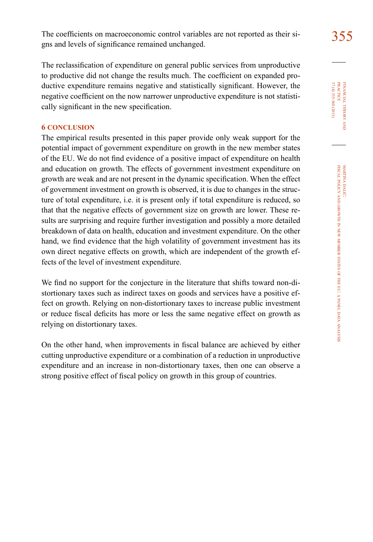The coefficients on macroeconomic control variables are not reported as their si-<br>355 gns and levels of significance remained unchanged.

The reclassification of expenditure on general public services from unproductive to productive did not change the results much. The coefficient on expanded productive expenditure remains negative and statistically significant. However, the negative coefficient on the now narrower unproductive expenditure is not statistically significant in the new specification.

# **6 conclusion**

The empirical results presented in this paper provide only weak support for the potential impact of government expenditure on growth in the new member states of the EU. We do not find evidence of a positive impact of expenditure on health and education on growth. The effects of government investment expenditure on growth are weak and are not present in the dynamic specification. When the effect of government investment on growth is observed, it is due to changes in the structure of total expenditure, i.e. it is present only if total expenditure is reduced, so that that the negative effects of government size on growth are lower. These results are surprising and require further investigation and possibly a more detailed breakdown of data on health, education and investment expenditure. On the other hand, we find evidence that the high volatility of government investment has its own direct negative effects on growth, which are independent of the growth effects of the level of investment expenditure.

We find no support for the conjecture in the literature that shifts toward non-distortionary taxes such as indirect taxes on goods and services have a positive effect on growth. Relying on non-distortionary taxes to increase public investment or reduce fiscal deficits has more or less the same negative effect on growth as relying on distortionary taxes.

On the other hand, when improvements in fiscal balance are achieved by either cutting unproductive expenditure or a combination of a reduction in unproductive expenditure and an increase in non-distortionary taxes, then one can observe a strong positive effect of fiscal policy on growth in this group of countries.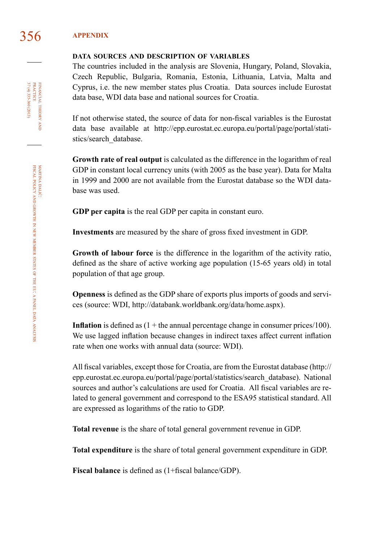# 356 **appendix**

### **data sources and description of variables**

The countries included in the analysis are Slovenia, Hungary, Poland, Slovakia, Czech Republic, Bulgaria, Romania, Estonia, Lithuania, Latvia, Malta and Cyprus, i.e. the new member states plus Croatia. Data sources include Eurostat data base, WDI data base and national sources for Croatia.

If not otherwise stated, the source of data for non-fiscal variables is the Eurostat data base available at [http://epp.eurostat.ec.europa.eu/portal/page/portal/stati](http://epp.eurostat.ec.europa.eu/portal/page/portal/statistics/search_database)[stics/search\\_database.](http://epp.eurostat.ec.europa.eu/portal/page/portal/statistics/search_database)

**Growth rate of real output** is calculated as the difference in the logarithm of real GDP in constant local currency units (with 2005 as the base year). Data for Malta in 1999 and 2000 are not available from the Eurostat database so the WDI database was used.

**GDP per capita** is the real GDP per capita in constant euro.

**Investments** are measured by the share of gross fixed investment in GDP.

**Growth of labour force** is the difference in the logarithm of the activity ratio, defined as the share of active working age population (15-65 years old) in total population of that age group.

**Openness** is defined as the GDP share of exports plus imports of goods and services (source: WDI, [http://databank.worldbank.org/data/home.aspx\)](http://databank.worldbank.org/data/home.aspx).

**Inflation** is defined as  $(1 +$  the annual percentage change in consumer prices/100). We use lagged inflation because changes in indirect taxes affect current inflation rate when one works with annual data (source: WDI).

All fiscal variables, except those for Croatia, are from the Eurostat database ([http://](http://epp.eurostat.ec.europa.eu/portal/page/portal/statistics/search_database) [epp.eurostat.ec.europa.eu/portal/page/portal/statistics/search\\_database](http://epp.eurostat.ec.europa.eu/portal/page/portal/statistics/search_database)). National sources and author's calculations are used for Croatia. All fiscal variables are related to general government and correspond to the ESA95 statistical standard. All are expressed as logarithms of the ratio to GDP.

**Total revenue** is the share of total general government revenue in GDP.

**Total expenditure** is the share of total general government expenditure in GDP.

**Fiscal balance** is defined as (1+fiscal balance/GDP).

financial theory FINANCIAL THEORY AND<br>PRACTICE<br>37 (4) 335-360 (2013) 37 (4) 335-360 (2013) practice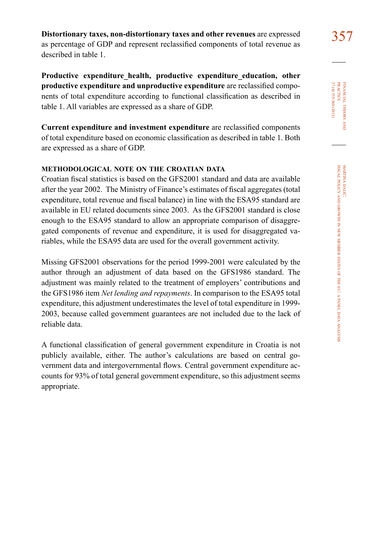357 **Distortionary taxes, non-distortionary taxes and other revenues** are expressed as percentage of GDP and represent reclassified components of total revenue as described in table 1.

**Productive expenditure\_health, productive expenditure\_education, other productive expenditure and unproductive expenditure** are reclassified components of total expenditure according to functional classification as described in table 1. All variables are expressed as a share of GDP.

**Current expenditure and investment expenditure** are reclassified components of total expenditure based on economic classification as described in table 1. Both are expressed as a share of GDP.

# **methodological note on the croatian data**

Croatian fiscal statistics is based on the GFS2001 standard and data are available after the year 2002. The Ministry of Finance's estimates of fiscal aggregates (total expenditure, total revenue and fiscal balance) in line with the ESA95 standard are available in EU related documents since 2003. As the GFS2001 standard is close enough to the ESA95 standard to allow an appropriate comparison of disaggregated components of revenue and expenditure, it is used for disaggregated variables, while the ESA95 data are used for the overall government activity.

Missing GFS2001 observations for the period 1999-2001 were calculated by the author through an adjustment of data based on the GFS1986 standard. The adjustment was mainly related to the treatment of employers' contributions and the GFS1986 item *Net lending and repayments*. In comparison to the ESA95 total expenditure, this adjustment underestimates the level of total expenditure in 1999- 2003, because called government guarantees are not included due to the lack of reliable data.

A functional classification of general government expenditure in Croatia is not publicly available, either. The author's calculations are based on central government data and intergovernmental flows. Central government expenditure accounts for 93% of total general government expenditure, so this adjustment seems appropriate.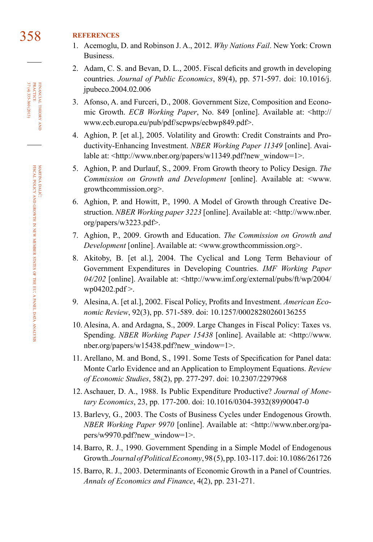# 358 **references**

- 1. Acemoglu, D. and Robinson J. A., 2012. *Why Nations Fail*. New York: Crown Business.
- 2. Adam, C. S. and Bevan, D. L., 2005. Fiscal deficits and growth in developing countries. *Journal of Public Economics*, 89(4), pp. 571-597. doi: [10.1016/j.](http://dx.doi.org/10.1016/j.jpubeco.2004.02.006) [jpubeco.2004.02.006](http://dx.doi.org/10.1016/j.jpubeco.2004.02.006)
- 3. Afonso, A. and Furceri, D., 2008. Government Size, Composition and Economic Growth. *ECB Working Paper*, No. 849 [online]. Available at: [<http://](http://www.ecb.europa.eu/pub/pdf/scpwps/ecbwp849.pdf) [www.ecb.europa.eu/pub/pdf/scpwps/ecbwp849.pdf](http://www.ecb.europa.eu/pub/pdf/scpwps/ecbwp849.pdf)>.
- 4. Aghion, P. [et al.], 2005. Volatility and Growth: Credit Constraints and Productivity-Enhancing Investment. *NBER Working Paper 11349* [online]. Avai-lable at: [<http://www.nber.org/papers/w11349.pdf?new\\_window=1>](http://www.nber.org/papers/w11349.pdf?new_window=1).
- 5. Aghion, P. and Durlauf, S., 2009. From Growth theory to Policy Design. *The Commission on Growth and Development* [online]. Available at: [<www.](http://www.growthcommission.org) [growthcommission.org](http://www.growthcommission.org)>.
- 6. Aghion, P. and Howitt, P., 1990. A Model of Growth through Creative Destruction. *NBER Working paper 3223* [online]. Available at: [<http://www.nber.](http://www.nber.org/papers/w3223.pdf) [org/papers/w3223.pdf](http://www.nber.org/papers/w3223.pdf)>.
- 7. Aghion, P., 2009. Growth and Education. *The Commission on Growth and Development* [online]. Available at: [<www.growthcommission.org](http://www.growthcommission.org)>.
- 8. Akitoby, B. [et al.], 2004. The Cyclical and Long Term Behaviour of Government Expenditures in Developing Countries. *IMF Working Paper 04/202* [online]. Available at: [<http://www.imf.org/external/pubs/ft/wp/2004/](http://www.imf.org/external/pubs/ft/wp/2004/wp04202.pdf) [wp04202.pdf](http://www.imf.org/external/pubs/ft/wp/2004/wp04202.pdf) >.
- 9. Alesina, A. [et al.], 2002. Fiscal Policy, Profits and Investment. *American Economic Review*, 92(3), pp. 571-589. doi: [10.1257/00028280260136255](http://dx.doi.org/10.1257/00028280260136255)
- 10. Alesina, A. and Ardagna, S., 2009. Large Changes in Fiscal Policy: Taxes vs. Spending. *NBER Working Paper 15438* [online]. Available at: [<http://www.](http://www.nber.org/papers/w15438.pdf?new_window=1) [nber.org/papers/w15438.pdf?new\\_window=1>](http://www.nber.org/papers/w15438.pdf?new_window=1).
- 11. Arellano, M. and Bond, S., 1991. Some Tests of Specification for Panel data: Monte Carlo Evidence and an Application to Employment Equations. *Review of Economic Studies*, 58(2), pp. 277-297. doi: [10.2307/2297968](http://dx.doi.org/10.2307/2297968)
- 12. Aschauer, D. A., 1988. Is Public Expenditure Productive? *Journal of Monetary Economics*, 23, pp. 177-200. doi: [10.1016/0304-3932\(89\)90047-0](http://dx.doi.org/10.1016/0304-3932(89)90047-0)
- 13. Barlevy, G., 2003. The Costs of Business Cycles under Endogenous Growth. *NBER Working Paper 9970* [online]. Available at: [<http://www.nber.org/pa](http://www.nber.org/papers/w9970.pdf?new_window=1)[pers/w9970.pdf?new\\_window=1>](http://www.nber.org/papers/w9970.pdf?new_window=1).
- 14. Barro, R. J., 1990. Government Spending in a Simple Model of Endogenous Growth. *Journal of Political Economy*, 98 (5), pp. 103-117. doi: [10.1086/261726](http://dx.doi.org/10.1086/261726)
- 15. Barro, R. J., 2003. Determinants of Economic Growth in a Panel of Countries. *Annals of Economics and Finance*, 4(2), pp. 231-271.

FINANCIAL THEORY PRACTICE  $\frac{37(4)335-360(2013)}{37(4)335-360(2013)}$ 37 (4) 335-360 (2013) practice financial theory and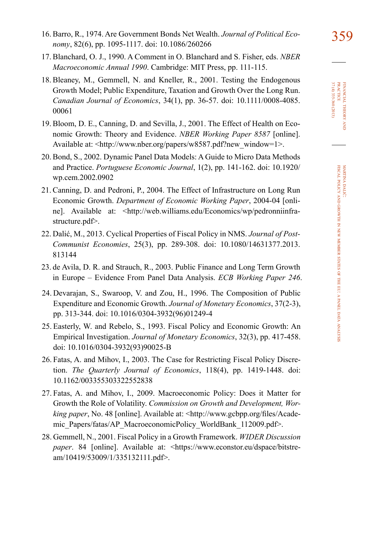- 359 16. Barro, R., 1974. Are Government Bonds Net Wealth. *Journal of Political Economy*, 82(6), pp. 1095-1117. doi: [10.1086/260266](http://dx.doi.org/10.1086/260266)
- 17. Blanchard, O. J., 1990. A Comment in O. Blanchard and S. Fisher, eds. *NBER Macroeconomic Annual 1990*. Cambridge: MIT Press, pp. 111-115.
- 18. Bleaney, M., Gemmell, N. and Kneller, R., 2001. Testing the Endogenous Growth Model; Public Expenditure, Taxation and Growth Over the Long Run. *Canadian Journal of Economics*, 34(1), pp. 36-57. doi: [10.1111/0008-4085.](http://dx.doi.org/10.1111/0008-4085.00061) [00061](http://dx.doi.org/10.1111/0008-4085.00061)
- 19. Bloom, D. E., Canning, D. and Sevilla, J., 2001. The Effect of Health on Economic Growth: Theory and Evidence. *NBER Working Paper 8587* [online]. Available at: [<http://www.nber.org/papers/w8587.pdf?new\\_window=1>](http://www.nber.org/papers/w8587.pdf?new_window=1).
- 20. Bond, S., 2002. Dynamic Panel Data Models: A Guide to Micro Data Methods and Practice. *Portuguese Economic Journal*, 1(2), pp. 141-162. doi: [10.1920/](http://dx.doi.org/10.1920/wp.cem.2002.0902) [wp.cem.2002.0902](http://dx.doi.org/10.1920/wp.cem.2002.0902)
- 21. Canning, D. and Pedroni, P., 2004. The Effect of Infrastructure on Long Run Economic Growth. *Department of Economic Working Paper*, 2004-04 [online]. Available at: [<http://web.williams.edu/Economics/wp/pedronniinfra](http://web.williams.edu/Economics/wp/pedronniinfrastructure.pdf)[structure.pdf>](http://web.williams.edu/Economics/wp/pedronniinfrastructure.pdf).
- 22. Dalić, M., 2013. Cyclical Properties of Fiscal Policy in NMS. *Journal of Post-Communist Economies*, 25(3), pp. 289-308. doi: [10.1080/14631377.2013.](http://dx.doi.org/10.1080/14631377.2013.813144) [813144](http://dx.doi.org/10.1080/14631377.2013.813144)
- 23. de Avila, D. R. and Strauch, R., 2003. Public Finance and Long Term Growth in Europe – Evidence From Panel Data Analysis. *ECB Working Paper 246*.
- 24. Devarajan, S., Swaroop, V. and Zou, H., 1996. The Composition of Public Expenditure and Economic Growth. *Journal of Monetary Economics*, 37(2-3), pp. 313-344. doi: [10.1016/0304-3932\(96\)01249-4](http://www.ingentaconnect.com/content/els/03043932/1996/00000037/00000002/art01249)
- 25. Easterly, W. and Rebelo, S., 1993. Fiscal Policy and Economic Growth: An Empirical Investigation. *Journal of Monetary Economics*, 32(3), pp. 417-458. doi: [10.1016/0304-3932\(93\)90025-B](http://dx.doi.org/10.1016/0304-3932(93)90025-B)
- 26. Fatas, A. and Mihov, I., 2003. The Case for Restricting Fiscal Policy Discretion. *The Quarterly Journal of Economics*, 118(4), pp. 1419-1448. doi: [10.1162/003355303322552838](http://dx.doi.org/10.1162/003355303322552838)
- 27. Fatas, A. and Mihov, I., 2009. Macroeconomic Policy: Does it Matter for Growth the Role of Volatility. *Commission on Growth and Development, Working paper*, No. 48 [online]. Available at: [<http://www.gcbpp.org/files/Acade](http://www.gcbpp.org/files/Academic_Papers/fatas/AP_MacroeconomicPolicy_WorldBank_112009.pdf)[mic\\_Papers/fatas/AP\\_MacroeconomicPolicy\\_WorldBank\\_112009.pdf>](http://www.gcbpp.org/files/Academic_Papers/fatas/AP_MacroeconomicPolicy_WorldBank_112009.pdf).
- 28. Gemmell, N., 2001. Fiscal Policy in a Growth Framework. *WIDER Discussion paper*. 84 [online]. Available at: [<https://www.econstor.eu/dspace/bitstre](https://www.econstor.eu/dspace/bitstream/10419/53009/1/335132111.pdf)[am/10419/53009/1/335132111.pdf](https://www.econstor.eu/dspace/bitstream/10419/53009/1/335132111.pdf)>.